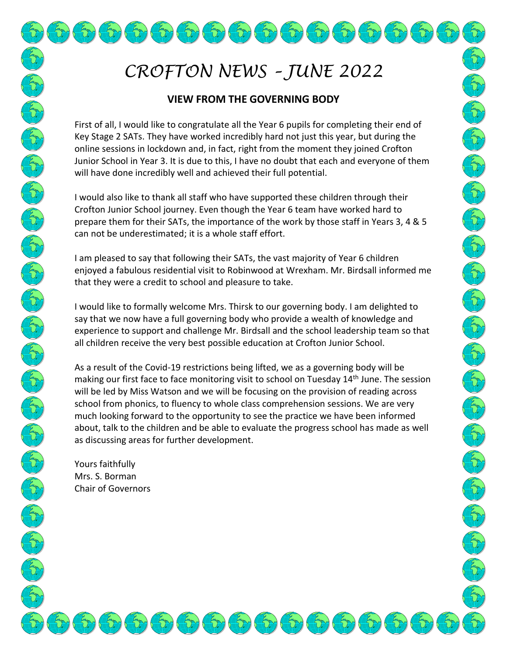# *CROFTON NEWS – JUNE 2022*

 $(\pi)(\pi)(\pi)(\pi)(\pi)(\pi)(\pi)$ 

## **VIEW FROM THE GOVERNING BODY**

First of all, I would like to congratulate all the Year 6 pupils for completing their end of Key Stage 2 SATs. They have worked incredibly hard not just this year, but during the online sessions in lockdown and, in fact, right from the moment they joined Crofton Junior School in Year 3. It is due to this, I have no doubt that each and everyone of them will have done incredibly well and achieved their full potential.

I would also like to thank all staff who have supported these children through their Crofton Junior School journey. Even though the Year 6 team have worked hard to prepare them for their SATs, the importance of the work by those staff in Years 3, 4 & 5 can not be underestimated; it is a whole staff effort.

I am pleased to say that following their SATs, the vast majority of Year 6 children enjoyed a fabulous residential visit to Robinwood at Wrexham. Mr. Birdsall informed me that they were a credit to school and pleasure to take.

I would like to formally welcome Mrs. Thirsk to our governing body. I am delighted to say that we now have a full governing body who provide a wealth of knowledge and experience to support and challenge Mr. Birdsall and the school leadership team so that all children receive the very best possible education at Crofton Junior School.

As a result of the Covid-19 restrictions being lifted, we as a governing body will be making our first face to face monitoring visit to school on Tuesday  $14<sup>th</sup>$  June. The session will be led by Miss Watson and we will be focusing on the provision of reading across school from phonics, to fluency to whole class comprehension sessions. We are very much looking forward to the opportunity to see the practice we have been informed about, talk to the children and be able to evaluate the progress school has made as well as discussing areas for further development.

 $\sqrt{\zeta}$ 

 $\sqrt{\frac{2}{\sqrt{3}}}}$ 

Yours faithfully Mrs. S. Borman Chair of Governors

Control Control Control Control Control Control Control

CAN CAN CAN CAN CAN CAN CAN CAN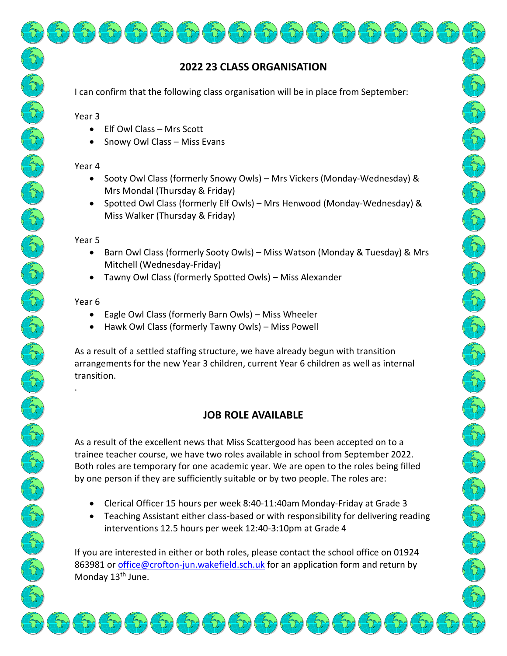# **2022 23 CLASS ORGANISATION**

I can confirm that the following class organisation will be in place from September:

Year 3

- Elf Owl Class Mrs Scott
- Snowy Owl Class Miss Evans

### Year 4

- Sooty Owl Class (formerly Snowy Owls) Mrs Vickers (Monday-Wednesday) & Mrs Mondal (Thursday & Friday)
- Spotted Owl Class (formerly Elf Owls) Mrs Henwood (Monday-Wednesday) & Miss Walker (Thursday & Friday)

### Year 5

- Barn Owl Class (formerly Sooty Owls) Miss Watson (Monday & Tuesday) & Mrs Mitchell (Wednesday-Friday)
- Tawny Owl Class (formerly Spotted Owls) Miss Alexander

## Year 6

.

- Eagle Owl Class (formerly Barn Owls) Miss Wheeler
- Hawk Owl Class (formerly Tawny Owls) Miss Powell

As a result of a settled staffing structure, we have already begun with transition arrangements for the new Year 3 children, current Year 6 children as well as internal transition.

# **JOB ROLE AVAILABLE**

As a result of the excellent news that Miss Scattergood has been accepted on to a trainee teacher course, we have two roles available in school from September 2022. Both roles are temporary for one academic year. We are open to the roles being filled by one person if they are sufficiently suitable or by two people. The roles are:

- Clerical Officer 15 hours per week 8:40-11:40am Monday-Friday at Grade 3
- Teaching Assistant either class-based or with responsibility for delivering reading interventions 12.5 hours per week 12:40-3:10pm at Grade 4

If you are interested in either or both roles, please contact the school office on 01924 863981 or [office@crofton-jun.wakefield.sch.uk](mailto:office@crofton-jun.wakefield.sch.uk) for an application form and return by Monday 13<sup>th</sup> June.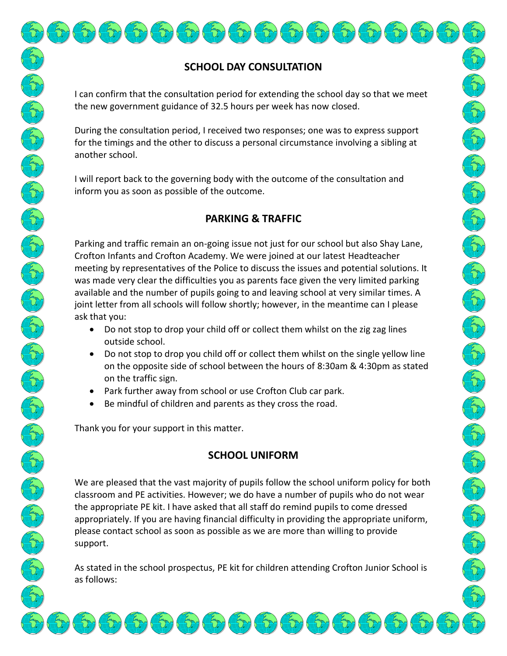# **SCHOOL DAY CONSULTATION**

I can confirm that the consultation period for extending the school day so that we meet the new government guidance of 32.5 hours per week has now closed.

During the consultation period, I received two responses; one was to express support for the timings and the other to discuss a personal circumstance involving a sibling at another school.

I will report back to the governing body with the outcome of the consultation and inform you as soon as possible of the outcome.

# **PARKING & TRAFFIC**

Parking and traffic remain an on-going issue not just for our school but also Shay Lane, Crofton Infants and Crofton Academy. We were joined at our latest Headteacher meeting by representatives of the Police to discuss the issues and potential solutions. It was made very clear the difficulties you as parents face given the very limited parking available and the number of pupils going to and leaving school at very similar times. A joint letter from all schools will follow shortly; however, in the meantime can I please ask that you:

- Do not stop to drop your child off or collect them whilst on the zig zag lines outside school.
- Do not stop to drop you child off or collect them whilst on the single yellow line on the opposite side of school between the hours of 8:30am & 4:30pm as stated on the traffic sign.
- Park further away from school or use Crofton Club car park.
- Be mindful of children and parents as they cross the road.

Thank you for your support in this matter.

## **SCHOOL UNIFORM**

We are pleased that the vast majority of pupils follow the school uniform policy for both classroom and PE activities. However; we do have a number of pupils who do not wear the appropriate PE kit. I have asked that all staff do remind pupils to come dressed appropriately. If you are having financial difficulty in providing the appropriate uniform, please contact school as soon as possible as we are more than willing to provide support.

As stated in the school prospectus, PE kit for children attending Crofton Junior School is as follows: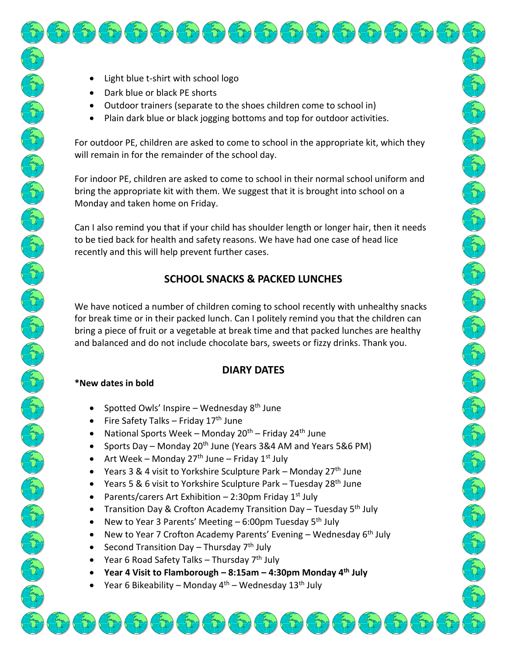- Light blue t-shirt with school logo
- Dark blue or black PE shorts
- Outdoor trainers (separate to the shoes children come to school in)
- Plain dark blue or black jogging bottoms and top for outdoor activities.

For outdoor PE, children are asked to come to school in the appropriate kit, which they will remain in for the remainder of the school day.

For indoor PE, children are asked to come to school in their normal school uniform and bring the appropriate kit with them. We suggest that it is brought into school on a Monday and taken home on Friday.

Can I also remind you that if your child has shoulder length or longer hair, then it needs to be tied back for health and safety reasons. We have had one case of head lice recently and this will help prevent further cases.

CAN CAN CAN CAN CAN CAN CAN

Control Control Control Control Control Control Control Control Control Control Control Control Control Control Control Control Control Control Control Control Control Control Control Control Control Control Control Contro

CAN CAN CAN CAN

## **SCHOOL SNACKS & PACKED LUNCHES**

We have noticed a number of children coming to school recently with unhealthy snacks for break time or in their packed lunch. Can I politely remind you that the children can bring a piece of fruit or a vegetable at break time and that packed lunches are healthy and balanced and do not include chocolate bars, sweets or fizzy drinks. Thank you.

## **DIARY DATES**

#### **\*New dates in bold**

- Spotted Owls' Inspire Wednesday  $8<sup>th</sup>$  June
- Fire Safety Talks Friday 17<sup>th</sup> June
- National Sports Week Monday  $20^{th}$  Friday  $24^{th}$  June
- Sports Day Monday 20<sup>th</sup> June (Years 3&4 AM and Years 5&6 PM)
- Art Week Monday 27<sup>th</sup> June Friday 1<sup>st</sup> July
- Years 3 & 4 visit to Yorkshire Sculpture Park Monday  $27<sup>th</sup>$  June
- Years 5 & 6 visit to Yorkshire Sculpture Park Tuesday 28<sup>th</sup> June
- Parents/carers Art Exhibition 2:30pm Friday  $1^{st}$  July
- Transition Day & Crofton Academy Transition Day Tuesday 5th July
- New to Year 3 Parents' Meeting  $-6:00$ pm Tuesday 5<sup>th</sup> July
- New to Year 7 Crofton Academy Parents' Evening Wednesday  $6<sup>th</sup>$  July
- Second Transition Day Thursday  $7<sup>th</sup>$  July
- Year 6 Road Safety Talks Thursday 7<sup>th</sup> July
- **Year 4 Visit to Flamborough – 8:15am – 4:30pm Monday 4 th July**
- Year 6 Bikeability Monday  $4<sup>th</sup>$  Wednesday  $13<sup>th</sup>$  July